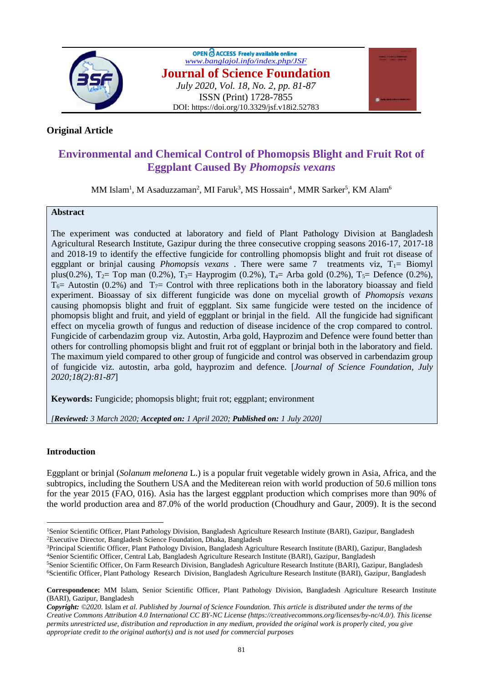

OPEN C ACCESS Freely available online *[www.banglajol.info/index.php/JSF](http://www.banglajol.info/index.php/JSF)* **Journal of Science Foundation** *July 2020, Vol. 18, No. 2, pp. 81-87* ISSN (Print) 1728-7855 DOI: https://doi.org/10.3329/jsf.v18i2.52783



## **Original Article**

# **Environmental and Chemical Control of Phomopsis Blight and Fruit Rot of Eggplant Caused By** *Phomopsis vexans*

MM Islam<sup>1</sup>, M Asaduzzaman<sup>2</sup>, MI Faruk<sup>3</sup>, MS Hossain<sup>4</sup>, MMR Sarker<sup>5</sup>, KM Alam<sup>6</sup>

## **Abstract**

The experiment was conducted at laboratory and field of Plant Pathology Division at Bangladesh Agricultural Research Institute, Gazipur during the three consecutive cropping seasons 2016-17, 2017-18 and 2018-19 to identify the effective fungicide for controlling phomopsis blight and fruit rot disease of eggplant or brinjal causing *Phomopsis vexans* . There were same 7 treatments viz, T<sub>1</sub>= Biomyl plus(0.2%),  $T_2$ = Top man (0.2%),  $T_3$ = Hayprogim (0.2%),  $T_4$ = Arba gold (0.2%),  $T_5$ = Defence (0.2%),  $T_6$  Autostin (0.2%) and  $T_7$  Control with three replications both in the laboratory bioassay and field experiment. Bioassay of six different fungicide was done on mycelial growth of *Phomopsis vexans*  causing phomopsis blight and fruit of eggplant. Six same fungicide were tested on the incidence of phomopsis blight and fruit, and yield of eggplant or brinjal in the field. All the fungicide had significant effect on mycelia growth of fungus and reduction of disease incidence of the crop compared to control. Fungicide of carbendazim group viz. Autostin, Arba gold, Hayprozim and Defence were found better than others for controlling phomopsis blight and fruit rot of eggplant or brinjal both in the laboratory and field. The maximum yield compared to other group of fungicide and control was observed in carbendazim group of fungicide viz. autostin, arba gold, hayprozim and defence. [*Journal of Science Foundation, July 2020;18(2):81-87*]

**Keywords:** Fungicide; phomopsis blight; fruit rot; eggplant; environment

*[Reviewed: 3 March 2020; Accepted on: 1 April 2020; Published on: 1 July 2020]*

## **Introduction**

 $\overline{a}$ 

Eggplant or brinjal (*Solanum melonena* L.) is a popular fruit vegetable widely grown in Asia, Africa, and the subtropics, including the Southern USA and the Mediterean reion with world production of 50.6 million tons for the year 2015 (FAO, 016). Asia has the largest eggplant production which comprises more than 90% of the world production area and 87.0% of the world production (Choudhury and Gaur, 2009). It is the second

<sup>3</sup>Principal Scientific Officer, Plant Pathology Division, Bangladesh Agriculture Research Institute (BARI), Gazipur, Bangladesh <sup>4</sup>Senior Scientific Officer, Central Lab, Bangladesh Agriculture Research Institute (BARI), Gazipur, Bangladesh

<sup>&</sup>lt;sup>1</sup>Senior Scientific Officer, Plant Pathology Division, Bangladesh Agriculture Research Institute (BARI), Gazipur, Bangladesh <sup>2</sup>Executive Director, Bangladesh Science Foundation, Dhaka, Bangladesh

<sup>5</sup>Senior Scientific Officer, On Farm Research Division, Bangladesh Agriculture Research Institute (BARI), Gazipur, Bangladesh <sup>6</sup>Scientific Officer, Plant Pathology Research Division, Bangladesh Agriculture Research Institute (BARI), Gazipur, Bangladesh

**Correspondence:** MM Islam, Senior Scientific Officer, Plant Pathology Division, Bangladesh Agriculture Research Institute (BARI), Gazipur, Bangladesh

*Copyright: ©2020.* Islam *et al. Published by Journal of Science Foundation. This article is distributed under the terms of the Creative Commons Attribution 4.0 International CC BY-NC License (https://creativecommons.org/licenses/by-nc/4.0/). This license permits unrestricted use, distribution and reproduction in any medium, provided the original work is properly cited, you give appropriate credit to the original author(s) and is not used for commercial purposes*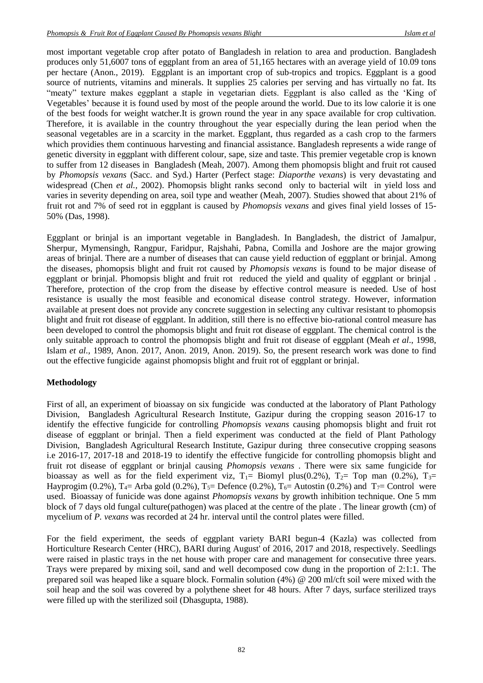most important vegetable crop after potato of Bangladesh in relation to area and production. Bangladesh produces only 51,6007 tons of eggplant from an area of 51,165 hectares with an average yield of 10.09 tons per hectare (Anon., 2019). Eggplant is an important crop of sub-tropics and tropics. Eggplant is a good source of nutrients, vitamins and minerals. It supplies 25 calories per serving and has virtually no fat. Its "meaty" texture makes eggplant a staple in vegetarian diets. Eggplant is also called as the 'King of [Vegetables'](https://www.healthbenefitstimes.com/category/vegetables/) because it is found used by most of the people around the world. Due to its low calorie it is one of the best foods for weight watcher.It is grown round the year in any space available for crop cultivation. Therefore, it is available in the country throughout the year especially during the lean period when the seasonal vegetables are in a scarcity in the market. Eggplant, thus regarded as a cash crop to the farmers which providies them continuous harvesting and financial assistance. Bangladesh represents a wide range of genetic diversity in eggplant with different colour, sape, size and taste. This premier vegetable crop is known to suffer from 12 diseases in Bangladesh (Meah, 2007). Among them phomopsis blight and fruit rot caused by *Phomopsis vexans* (Sacc. and Syd.) Harter (Perfect stage: *Diaporthe vexans*) is very devastating and widespread (Chen *et al.*, 2002). Phomopsis blight ranks second only to bacterial wilt in yield loss and varies in severity depending on area, soil type and weather (Meah, 2007). Studies showed that about 21% of fruit rot and 7% of seed rot in eggplant is caused by *Phomopsis vexans* and gives final yield losses of 15- 50% (Das, 1998).

Eggplant or brinjal is an important vegetable in Bangladesh. In Bangladesh, the district of Jamalpur, Sherpur, Mymensingh, Rangpur, Faridpur, Rajshahi, Pabna, Comilla and Joshore are the major growing areas of brinjal. There are a number of diseases that can cause yield reduction of eggplant or brinjal. Among the diseases, phomopsis blight and fruit rot caused by *Phomopsis vexans* is found to be major disease of eggplant or brinjal. Phomopsis blight and fruit rot reduced the yield and quality of eggplant or brinjal . Therefore, protection of the crop from the disease by effective control measure is needed. Use of host resistance is usually the most feasible and economical disease control strategy. However, information available at present does not provide any concrete suggestion in selecting any cultivar resistant to phomopsis blight and fruit rot disease of eggplant. In addition, still there is no effective bio-rational control measure has been developed to control the phomopsis blight and fruit rot disease of eggplant. The chemical control is the only suitable approach to control the phomopsis blight and fruit rot disease of eggplant (Meah *et al*., 1998, Islam *et al.,* 1989, Anon. 2017, Anon. 2019, Anon. 2019). So, the present research work was done to find out the effective fungicide against phomopsis blight and fruit rot of eggplant or brinjal.

#### **Methodology**

First of all, an experiment of bioassay on six fungicide was conducted at the laboratory of Plant Pathology Division, Bangladesh Agricultural Research Institute, Gazipur during the cropping season 2016-17 to identify the effective fungicide for controlling *Phomopsis vexans* causing phomopsis blight and fruit rot disease of eggplant or brinjal. Then a field experiment was conducted at the field of Plant Pathology Division, Bangladesh Agricultural Research Institute, Gazipur during three consecutive cropping seasons i.e 2016-17, 2017-18 and 2018-19 to identify the effective fungicide for controlling phomopsis blight and fruit rot disease of eggplant or brinjal causing *Phomopsis vexans* . There were six same fungicide for bioassay as well as for the field experiment viz,  $T_1 =$  Biomyl plus(0.2%),  $T_2 =$  Top man (0.2%),  $T_3 =$ Hayprogim (0.2%),  $T_4$ = Arba gold (0.2%),  $T_5$ = Defence (0.2%),  $T_6$ = Autostin (0.2%) and  $T_7$ = Control were used. Bioassay of funicide was done against *Phomopsis vexans* by growth inhibition technique. One 5 mm block of 7 days old fungal culture(pathogen) was placed at the centre of the plate . The linear growth (cm) of mycelium of *P. vexans* was recorded at 24 hr. interval until the control plates were filled.

For the field experiment, the seeds of eggplant variety BARI begun-4 (Kazla) was collected from Horticulture Research Center (HRC), BARI during August' of 2016, 2017 and 2018, respectively. Seedlings were raised in plastic trays in the net house with proper care and management for consecutive three years. Trays were prepared by mixing soil, sand and well decomposed cow dung in the proportion of 2:1:1. The prepared soil was heaped like a square block. Formalin solution (4%) @ 200 ml/cft soil were mixed with the soil heap and the soil was covered by a polythene sheet for 48 hours. After 7 days, surface sterilized trays were filled up with the sterilized soil (Dhasgupta, 1988).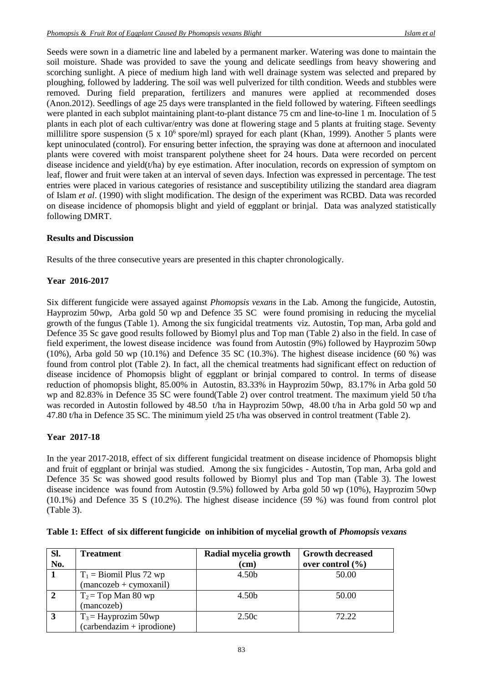Seeds were sown in a diametric line and labeled by a permanent marker. Watering was done to maintain the soil moisture. Shade was provided to save the young and delicate seedlings from heavy showering and scorching sunlight. A piece of medium high land with well drainage system was selected and prepared by ploughing, followed by laddering. The soil was well pulverized for tilth condition. Weeds and stubbles were removed. During field preparation, fertilizers and manures were applied at recommended doses (Anon.2012). Seedlings of age 25 days were transplanted in the field followed by watering. Fifteen seedlings were planted in each subplot maintaining plant-to-plant distance 75 cm and line-to-line 1 m. Inoculation of 5 plants in each plot of each cultivar/entry was done at flowering stage and 5 plants at fruiting stage. Seventy millilitre spore suspension (5 x  $10^6$  spore/ml) sprayed for each plant (Khan, 1999). Another 5 plants were kept uninoculated (control). For ensuring better infection, the spraying was done at afternoon and inoculated plants were covered with moist transparent polythene sheet for 24 hours. Data were recorded on percent disease incidence and yield(t/ha) by eye estimation. After inoculation, records on expression of symptom on leaf, flower and fruit were taken at an interval of seven days. Infection was expressed in percentage. The test entries were placed in various categories of resistance and susceptibility utilizing the standard area diagram of Islam *et al*. (1990) with slight modification. The design of the experiment was RCBD. Data was recorded on disease incidence of phomopsis blight and yield of eggplant or brinjal. Data was analyzed statistically following DMRT.

#### **Results and Discussion**

Results of the three consecutive years are presented in this chapter chronologically.

#### **Year 2016-2017**

Six different fungicide were assayed against *Phomopsis vexans* in the Lab. Among the fungicide, Autostin, Hayprozim 50wp, Arba gold 50 wp and Defence 35 SC were found promising in reducing the mycelial growth of the fungus (Table 1). Among the six fungicidal treatments viz. Autostin, Top man, Arba gold and Defence 35 Sc gave good results followed by Biomyl plus and Top man (Table 2) also in the field. In case of field experiment, the lowest disease incidence was found from Autostin (9%) followed by Hayprozim 50wp  $(10\%)$ , Arba gold 50 wp  $(10.1\%)$  and Defence 35 SC  $(10.3\%)$ . The highest disease incidence  $(60\%)$  was found from control plot (Table 2). In fact, all the chemical treatments had significant effect on reduction of disease incidence of Phomopsis blight of eggplant or brinjal compared to control. In terms of disease reduction of phomopsis blight, 85.00% in Autostin, 83.33% in Hayprozim 50wp, 83.17% in Arba gold 50 wp and 82.83% in Defence 35 SC were found(Table 2) over control treatment. The maximum yield 50 t/ha was recorded in Autostin followed by 48.50 t/ha in Hayprozim 50wp, 48.00 t/ha in Arba gold 50 wp and 47.80 t/ha in Defence 35 SC. The minimum yield 25 t/ha was observed in control treatment (Table 2).

#### **Year 2017-18**

In the year 2017-2018, effect of six different fungicidal treatment on disease incidence of Phomopsis blight and fruit of eggplant or brinjal was studied. Among the six fungicides - Autostin, Top man, Arba gold and Defence 35 Sc was showed good results followed by Biomyl plus and Top man (Table 3). The lowest disease incidence was found from Autostin (9.5%) followed by Arba gold 50 wp (10%), Hayprozim 50wp (10.1%) and Defence 35 S (10.2%). The highest disease incidence (59 %) was found from control plot (Table 3).

| Sl. | <b>Treatment</b>                       | Radial mycelia growth | <b>Growth decreased</b> |
|-----|----------------------------------------|-----------------------|-------------------------|
| No. |                                        | (cm)                  | over control $(\% )$    |
|     | $T_1$ = Biomil Plus 72 wp              | 4.50b                 | 50.00                   |
|     | $(\text{mancozeb} + \text{cymoxanil})$ |                       |                         |
|     | $T_2$ = Top Man 80 wp                  | 4.50 <sub>b</sub>     | 50.00                   |
|     | (mancozeb)                             |                       |                         |
|     | $T_3$ = Hayprozim 50wp                 | 2.50c                 | 72.22                   |
|     | $(carbendazim + iprodione)$            |                       |                         |

|  | Table 1: Effect of six different fungicide on inhibition of mycelial growth of <i>Phomopsis vexans</i> |  |
|--|--------------------------------------------------------------------------------------------------------|--|
|  |                                                                                                        |  |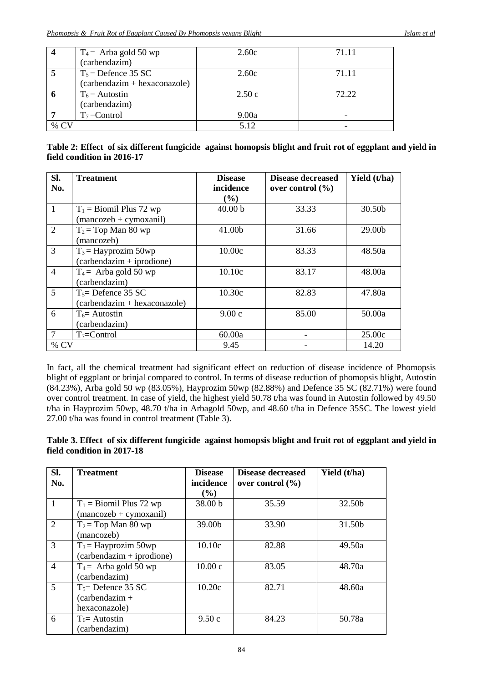|        | $T_4$ = Arba gold 50 wp        | 2.60c | 71.11 |
|--------|--------------------------------|-------|-------|
|        | (carbendazim)                  |       |       |
|        | $T_5$ = Defence 35 SC          | 2.60c | 71.11 |
|        | $(carbendazim + hexaconazole)$ |       |       |
| o      | $T_6$ = Autostin               | 2.50c | 72.22 |
|        | (carbendazim)                  |       |       |
|        | $T_7 =$ Control                | 9.00a |       |
| % $CV$ |                                | 5.12  |       |

|                            | Table 2: Effect of six different fungicide against homopsis blight and fruit rot of eggplant and yield in |
|----------------------------|-----------------------------------------------------------------------------------------------------------|
| field condition in 2016-17 |                                                                                                           |

| Sl.            | <b>Treatment</b>               | <b>Disease</b>     | <b>Disease decreased</b> | Yield (t/ha) |
|----------------|--------------------------------|--------------------|--------------------------|--------------|
| No.            |                                | incidence          | over control $(\% )$     |              |
|                |                                | (%)                |                          |              |
| $\overline{1}$ | $T_1$ = Biomil Plus 72 wp      | 40.00 <sub>b</sub> | 33.33                    | 30.50b       |
|                | $(maxozeb + cymoxani)$         |                    |                          |              |
| $\overline{2}$ | $T_2$ = Top Man 80 wp          | 41.00b             | 31.66                    | 29.00b       |
|                | (mancozeb)                     |                    |                          |              |
| 3              | $T_3$ = Hayprozim 50wp         | 10.00c             | 83.33                    | 48.50a       |
|                | $(carbendazim + iprodione)$    |                    |                          |              |
| $\overline{4}$ | $T_4$ = Arba gold 50 wp        | 10.10c             | 83.17                    | 48.00a       |
|                | (carbendazim)                  |                    |                          |              |
| 5              | $T_5$ Defence 35 SC            | 10.30c             | 82.83                    | 47.80a       |
|                | $(carbendazim + hexaconazole)$ |                    |                          |              |
| 6              | $T_6$ = Autostin               | 9.00c              | 85.00                    | 50.00a       |
|                | (carbendazim)                  |                    |                          |              |
| $\overline{7}$ | $T_7 =$ Control                | 60.00a             |                          | 25.00c       |
| $%$ CV         |                                | 9.45               |                          | 14.20        |

In fact, all the chemical treatment had significant effect on reduction of disease incidence of Phomopsis blight of eggplant or brinjal compared to control. In terms of disease reduction of phomopsis blight, Autostin (84.23%), Arba gold 50 wp (83.05%), Hayprozim 50wp (82.88%) and Defence 35 SC (82.71%) were found over control treatment. In case of yield, the highest yield 50.78 t/ha was found in Autostin followed by 49.50 t/ha in Hayprozim 50wp, 48.70 t/ha in Arbagold 50wp, and 48.60 t/ha in Defence 35SC. The lowest yield 27.00 t/ha was found in control treatment (Table 3).

**Table 3. Effect of six different fungicide against homopsis blight and fruit rot of eggplant and yield in field condition in 2017-18**

| Sl.<br>No.     | <b>Treatment</b>                                                    | <b>Disease</b><br>incidence<br>$(\%)$ | <b>Disease decreased</b><br>over control $(\% )$ | Yield (t/ha) |
|----------------|---------------------------------------------------------------------|---------------------------------------|--------------------------------------------------|--------------|
|                | $T_1$ = Biomil Plus 72 wp<br>$(\text{mancozeb} + \text{cymoxanil})$ | 38.00 b                               | 35.59                                            | 32.50b       |
| $\overline{2}$ | $T_2$ = Top Man 80 wp<br>(mancozeb)                                 | 39.00b                                | 33.90                                            | 31.50b       |
| 3              | $T_3$ = Hayprozim 50wp<br>$(carbendazim + iprodione)$               | 10.10c                                | 82.88                                            | 49.50a       |
| $\overline{4}$ | $T_4$ = Arba gold 50 wp<br>(carbendazim)                            | 10.00c                                | 83.05                                            | 48.70a       |
| $\overline{5}$ | $T5=$ Defence 35 SC<br>$(carbendazim +$<br>hexaconazole)            | 10.20c                                | 82.71                                            | 48.60a       |
| 6              | $T_6$ = Autostin<br>(carbendazim)                                   | 9.50c                                 | 84.23                                            | 50.78a       |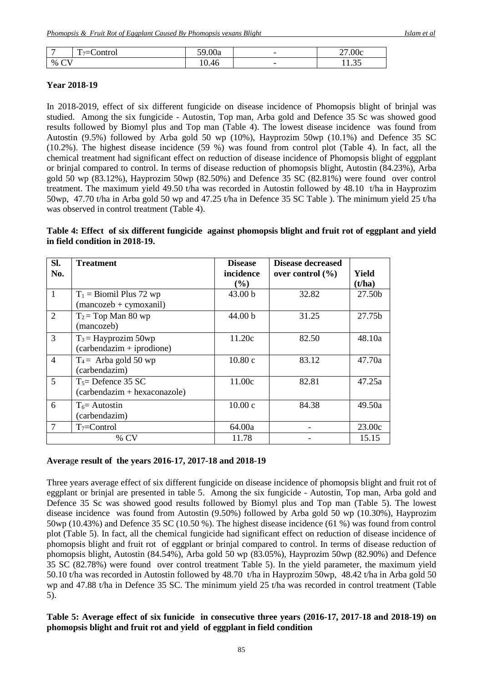| -                | $\overline{\phantom{0}}$<br>$\mathbf{r}$<br>Control<br>・っ二い<br>. . | 59.00<br>J.UUa | $\overline{\phantom{0}}$ | 27.00c      |
|------------------|--------------------------------------------------------------------|----------------|--------------------------|-------------|
| $\sim$<br>%<br>╰ |                                                                    | 10.46          | $\overline{\phantom{0}}$ | 25<br>11.JJ |

#### **Year 2018-19**

In 2018-2019, effect of six different fungicide on disease incidence of Phomopsis blight of brinjal was studied. Among the six fungicide - Autostin, Top man, Arba gold and Defence 35 Sc was showed good results followed by Biomyl plus and Top man (Table 4). The lowest disease incidence was found from Autostin (9.5%) followed by Arba gold 50 wp (10%), Hayprozim 50wp (10.1%) and Defence 35 SC (10.2%). The highest disease incidence (59 %) was found from control plot (Table 4). In fact, all the chemical treatment had significant effect on reduction of disease incidence of Phomopsis blight of eggplant or brinjal compared to control. In terms of disease reduction of phomopsis blight, Autostin (84.23%), Arba gold 50 wp (83.12%), Hayprozim 50wp (82.50%) and Defence 35 SC (82.81%) were found over control treatment. The maximum yield 49.50 t/ha was recorded in Autostin followed by 48.10 t/ha in Hayprozim 50wp, 47.70 t/ha in Arba gold 50 wp and 47.25 t/ha in Defence 35 SC Table ). The minimum yield 25 t/ha was observed in control treatment (Table 4).

### **Table 4: Effect of six different fungicide against phomopsis blight and fruit rot of eggplant and yield in field condition in 2018-19.**

| SI.            | <b>Treatment</b>               | <b>Disease</b> | <b>Disease decreased</b> |        |
|----------------|--------------------------------|----------------|--------------------------|--------|
| No.            |                                | incidence      | over control $(\% )$     | Yield  |
|                |                                | (%)            |                          | (t/ha) |
| $\overline{1}$ | $T_1$ = Biomil Plus 72 wp      | 43.00 b        | 32.82                    | 27.50b |
|                | $(maxozeb + cymoxanil)$        |                |                          |        |
| $\overline{2}$ | $T_2$ = Top Man 80 wp          | 44.00 b        | 31.25                    | 27.75b |
|                | (mancozeb)                     |                |                          |        |
| $\overline{3}$ | $T_3$ = Hayprozim 50wp         | 11.20c         | 82.50                    | 48.10a |
|                | $(carbendazim + iprodione)$    |                |                          |        |
| $\overline{4}$ | $T_4$ = Arba gold 50 wp        | 10.80c         | 83.12                    | 47.70a |
|                | (carbendazim)                  |                |                          |        |
| 5              | $T_5$ Defence 35 SC            | 11.00c         | 82.81                    | 47.25a |
|                | $(carbendazim + hexaconazole)$ |                |                          |        |
| 6              | $T_6$ = Autostin               | 10.00c         | 84.38                    | 49.50a |
|                | (carbendazim)                  |                |                          |        |
| $\tau$         | $T_7 =$ Control                | 64.00a         |                          | 23.00c |
|                | $%$ CV                         | 11.78          |                          | 15.15  |

#### **Avera**g**e result of the years 2016-17, 2017-18 and 2018-19**

Three years average effect of six different fungicide on disease incidence of phomopsis blight and fruit rot of eggplant or brinjal are presented in table 5. Among the six fungicide - Autostin, Top man, Arba gold and Defence 35 Sc was showed good results followed by Biomyl plus and Top man (Table 5). The lowest disease incidence was found from Autostin (9.50%) followed by Arba gold 50 wp (10.30%), Hayprozim 50wp (10.43%) and Defence 35 SC (10.50 %). The highest disease incidence (61 %) was found from control plot (Table 5). In fact, all the chemical fungicide had significant effect on reduction of disease incidence of phomopsis blight and fruit rot of eggplant or brinjal compared to control. In terms of disease reduction of phomopsis blight, Autostin (84.54%), Arba gold 50 wp (83.05%), Hayprozim 50wp (82.90%) and Defence 35 SC (82.78%) were found over control treatment Table 5). In the yield parameter, the maximum yield 50.10 t/ha was recorded in Autostin followed by 48.70 t/ha in Hayprozim 50wp, 48.42 t/ha in Arba gold 50 wp and 47.88 t/ha in Defence 35 SC. The minimum yield 25 t/ha was recorded in control treatment (Table 5).

#### **Table 5: Average effect of six funicide in consecutive three years (2016-17, 2017-18 and 2018-19) on phomopsis blight and fruit rot and yield of eggplant in field condition**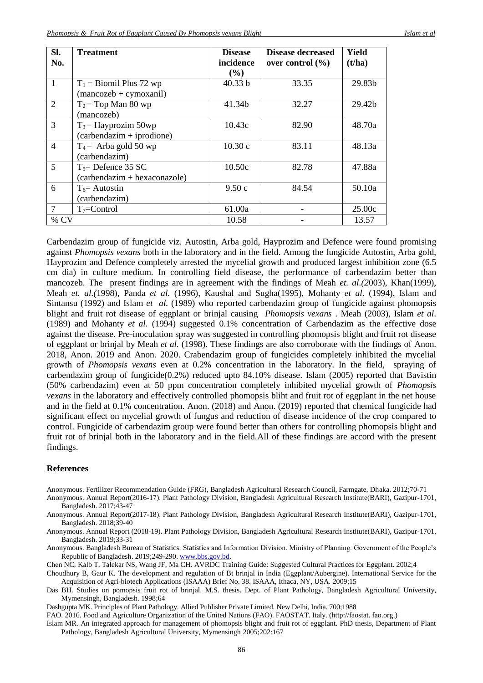| SI.            | <b>Treatment</b>                       | <b>Disease</b> | <b>Disease decreased</b> | Yield  |
|----------------|----------------------------------------|----------------|--------------------------|--------|
| No.            |                                        | incidence      | over control $(\% )$     | (t/ha) |
|                |                                        | $(\%)$         |                          |        |
| $\mathbf{1}$   | $T_1$ = Biomil Plus 72 wp              | 40.33 b        | 33.35                    | 29.83b |
|                | $(\text{mancozeb} + \text{cymoxanil})$ |                |                          |        |
| 2              | $T_2$ = Top Man 80 wp                  | 41.34b         | 32.27                    | 29.42b |
|                | (mancozeb)                             |                |                          |        |
| 3              | $T_3$ = Hayprozim 50wp                 | 10.43c         | 82.90                    | 48.70a |
|                | $(carbendazim + iprodione)$            |                |                          |        |
| $\overline{4}$ | $T_4$ = Arba gold 50 wp                | 10.30c         | 83.11                    | 48.13a |
|                | (carbendazim)                          |                |                          |        |
| $\mathfrak{S}$ | $T_5$ = Defence 35 SC                  | 10.50c         | 82.78                    | 47.88a |
|                | (carbendazim + hexaconazole)           |                |                          |        |
| 6              | $T_6$ = Autostin                       | 9.50c          | 84.54                    | 50.10a |
|                | (carbendazim)                          |                |                          |        |
| 7              | $T_7 =$ Control                        | 61.00a         |                          | 25.00c |
| % CV           |                                        | 10.58          |                          | 13.57  |

Carbendazim group of fungicide viz. Autostin, Arba gold, Hayprozim and Defence were found promising against *Phomopsis vexans* both in the laboratory and in the field. Among the fungicide Autostin, Arba gold, Hayprozim and Defence completely arrested the mycelial growth and produced largest inhibition zone (6.5 cm dia) in culture medium. In controlling field disease, the performance of carbendazim better than mancozeb. The present findings are in agreement with the findings of Meah *et. al.(2*003), Khan(1999), Meah *et. al.(*1998), Panda *et al.* (1996), Kaushal and Sugha(1995), Mohanty *et al.* (1994), Islam and Sintansu (1992) and Islam *et al.* (1989) who reported carbendazim group of fungicide against phomopsis blight and fruit rot disease of eggplant or brinjal causing *Phomopsis vexans* . Meah (2003), Islam *et al*. (1989) and Mohanty *et al.* (1994) suggested 0.1% concentration of Carbendazim as the effective dose against the disease. Pre-inoculation spray was suggested in controlling phomopsis blight and fruit rot disease of eggplant or brinjal by Meah *et al.* (1998). These findings are also corroborate with the findings of Anon. 2018, Anon. 2019 and Anon. 2020. Crabendazim group of fungicides completely inhibited the mycelial growth of *Phomopsis vexans* even at 0.2% concentration in the laboratory. In the field, spraying of carbendazim group of fungicide(0.2%) reduced upto 84.10% disease. Islam (2005) reported that Bavistin (50% carbendazim) even at 50 ppm concentration completely inhibited mycelial growth of *Phomopsis vexans* in the laboratory and effectively controlled phomopsis bliht and fruit rot of eggplant in the net house and in the field at 0.1% concentration. Anon. (2018) and Anon. (2019) reported that chemical fungicide had significant effect on mycelial growth of fungus and reduction of disease incidence of the crop compared to control. Fungicide of carbendazim group were found better than others for controlling phomopsis blight and fruit rot of brinjal both in the laboratory and in the field.All of these findings are accord with the present findings.

#### **References**

Anonymous. Fertilizer Recommendation Guide (FRG), Bangladesh Agricultural Research Council, Farmgate, Dhaka. 2012;70-71

Anonymous. Annual Report(2016-17). Plant Pathology Division, Bangladesh Agricultural Research Institute(BARI), Gazipur-1701, Bangladesh. 2017;43-47

Anonymous. Annual Report(2017-18). Plant Pathology Division, Bangladesh Agricultural Research Institute(BARI), Gazipur-1701, Bangladesh. 2018;39-40

Anonymous. Annual Report (2018-19). Plant Pathology Division, Bangladesh Agricultural Research Institute(BARI), Gazipur-1701, Bangladesh. 2019;33-31

Anonymous. Bangladesh Bureau of Statistics. Statistics and Information Division. Ministry of Planning. Government of the People's Republic of Bangladesh. 2019;249-290[. www.bbs.gov.bd.](http://www.bbs.gov.bd/)

Chen NC, Kalb T, Talekar NS, Wang JF, Ma CH. AVRDC Training Guide: Suggested Cultural Practices for Eggplant. 2002;4

Choudhury B, Gaur K. The development and regulation of Bt brinjal in India (Eggplant/Aubergine). International Service for the Acquisition of Agri-biotech Applications (ISAAA) Brief No. 38. ISAAA, Ithaca, NY, USA. 2009;15

Das BH. Studies on pomopsis fruit rot of brinjal. M.S. thesis. Dept. of Plant Pathology, Bangladesh Agricultural University, Mymensingh, Bangladesh. 1998;64

Dashgupta MK. Principles of Plant Pathology. Allied Publisher Private Limited. New Delhi, India. 700;1988

FAO. 2016. Food and Agriculture Organization of the United Nations (FAO). FAOSTAT. Italy. (http://faostat. fao.org.)

Islam MR. An integrated approach for management of phomopsis blight and fruit rot of eggplant. PhD thesis, Department of Plant Pathology, Bangladesh Agricultural University, Mymensingh 2005;202:167